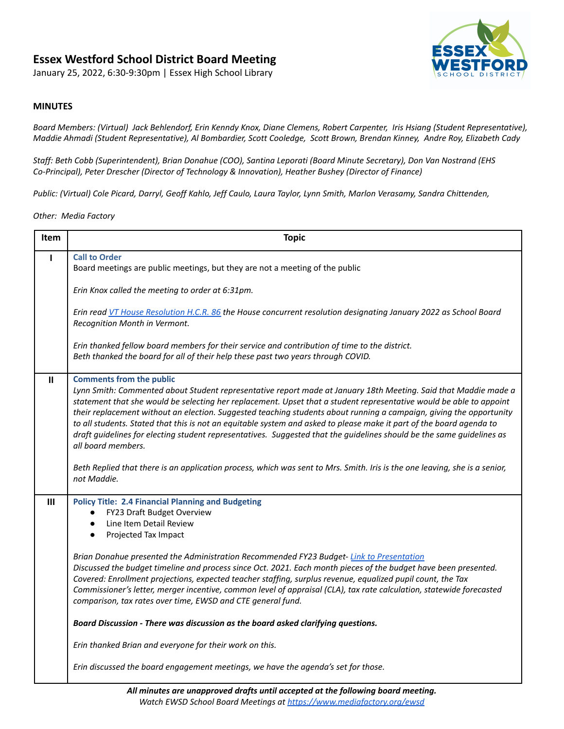## **Essex Westford School District Board Meeting**

January 25, 2022, 6:30-9:30pm | Essex High School Library



## **MINUTES**

Board Members: (Virtual) Jack Behlendorf, Erin Kenndy Knox, Diane Clemens, Robert Carpenter, Iris Hsiang (Student Representative), Maddie Ahmadi (Student Representative), Al Bombardier, Scott Cooledge, Scott Brown, Brendan Kinney, Andre Roy, Elizabeth Cady

Staff: Beth Cobb (Superintendent), Brian Donahue (COO), Santina Leporati (Board Minute Secretary), Don Van Nostrand (EHS *Co-Principal), Peter Drescher (Director of Technology & Innovation), Heather Bushey (Director of Finance)*

Public: (Virtual) Cole Picard, Darryl, Geoff Kahlo, Jeff Caulo, Laura Taylor, Lynn Smith, Marlon Verasamy, Sandra Chittenden,

*Other: Media Factory*

| Item           | <b>Topic</b>                                                                                                                                                                                                                                                                                                                                                                                                                                                                                                                                                                                                                                                            |
|----------------|-------------------------------------------------------------------------------------------------------------------------------------------------------------------------------------------------------------------------------------------------------------------------------------------------------------------------------------------------------------------------------------------------------------------------------------------------------------------------------------------------------------------------------------------------------------------------------------------------------------------------------------------------------------------------|
| п              | <b>Call to Order</b><br>Board meetings are public meetings, but they are not a meeting of the public                                                                                                                                                                                                                                                                                                                                                                                                                                                                                                                                                                    |
|                | Erin Knox called the meeting to order at 6:31pm.                                                                                                                                                                                                                                                                                                                                                                                                                                                                                                                                                                                                                        |
|                | Erin read VT House Resolution H.C.R. 86 the House concurrent resolution designating January 2022 as School Board<br>Recognition Month in Vermont.                                                                                                                                                                                                                                                                                                                                                                                                                                                                                                                       |
|                | Erin thanked fellow board members for their service and contribution of time to the district.<br>Beth thanked the board for all of their help these past two years through COVID.                                                                                                                                                                                                                                                                                                                                                                                                                                                                                       |
| Ш              | <b>Comments from the public</b><br>Lynn Smith: Commented about Student representative report made at January 18th Meeting. Said that Maddie made a<br>statement that she would be selecting her replacement. Upset that a student representative would be able to appoint<br>their replacement without an election. Suggested teaching students about running a campaign, giving the opportunity<br>to all students. Stated that this is not an equitable system and asked to please make it part of the board agenda to<br>draft guidelines for electing student representatives. Suggested that the guidelines should be the same guidelines as<br>all board members. |
|                | Beth Replied that there is an application process, which was sent to Mrs. Smith. Iris is the one leaving, she is a senior,<br>not Maddie.                                                                                                                                                                                                                                                                                                                                                                                                                                                                                                                               |
| $\mathbf{III}$ | <b>Policy Title: 2.4 Financial Planning and Budgeting</b><br>FY23 Draft Budget Overview<br>Line Item Detail Review<br>$\bullet$<br>Projected Tax Impact                                                                                                                                                                                                                                                                                                                                                                                                                                                                                                                 |
|                | Brian Donahue presented the Administration Recommended FY23 Budget-Link to Presentation<br>Discussed the budget timeline and process since Oct. 2021. Each month pieces of the budget have been presented.<br>Covered: Enrollment projections, expected teacher staffing, surplus revenue, equalized pupil count, the Tax<br>Commissioner's letter, merger incentive, common level of appraisal (CLA), tax rate calculation, statewide forecasted<br>comparison, tax rates over time, EWSD and CTE general fund.                                                                                                                                                        |
|                | Board Discussion - There was discussion as the board asked clarifying questions.                                                                                                                                                                                                                                                                                                                                                                                                                                                                                                                                                                                        |
|                | Erin thanked Brian and everyone for their work on this.                                                                                                                                                                                                                                                                                                                                                                                                                                                                                                                                                                                                                 |
|                | Erin discussed the board engagement meetings, we have the agenda's set for those.                                                                                                                                                                                                                                                                                                                                                                                                                                                                                                                                                                                       |